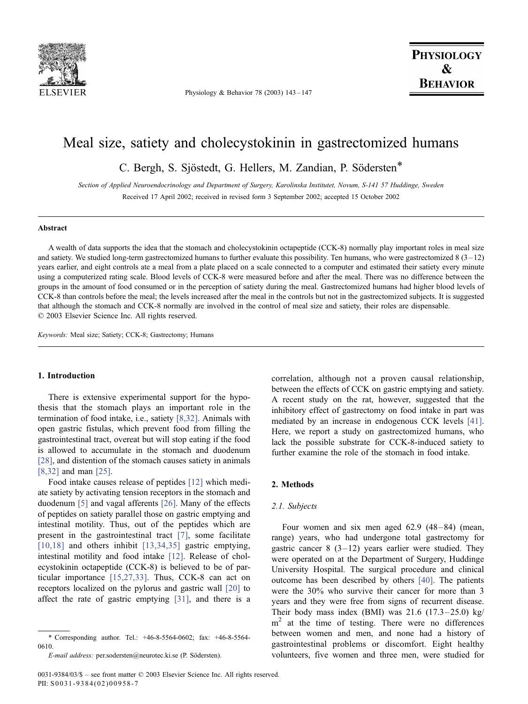

Physiology & Behavior 78 (2003) 143 – 147

# Meal size, satiety and cholecystokinin in gastrectomized humans

C. Bergh, S. Sjöstedt, G. Hellers, M. Zandian, P. Södersten\*

Section of Applied Neuroendocrinology and Department of Surgery, Karolinska Institutet, Novum, S-141 57 Huddinge, Sweden Received 17 April 2002; received in revised form 3 September 2002; accepted 15 October 2002

## Abstract

A wealth of data supports the idea that the stomach and cholecystokinin octapeptide (CCK-8) normally play important roles in meal size and satiety. We studied long-term gastrectomized humans to further evaluate this possibility. Ten humans, who were gastrectomized  $8(3-12)$ years earlier, and eight controls ate a meal from a plate placed on a scale connected to a computer and estimated their satiety every minute using a computerized rating scale. Blood levels of CCK-8 were measured before and after the meal. There was no difference between the groups in the amount of food consumed or in the perception of satiety during the meal. Gastrectomized humans had higher blood levels of CCK-8 than controls before the meal; the levels increased after the meal in the controls but not in the gastrectomized subjects. It is suggested that although the stomach and CCK-8 normally are involved in the control of meal size and satiety, their roles are dispensable.  $© 2003 Elsevier Science Inc. All rights reserved.$ 

Keywords: Meal size; Satiety; CCK-8; Gastrectomy; Humans

## 1. Introduction

There is extensive experimental support for the hypothesis that the stomach plays an important role in the termination of food intake, i.e., satiety [\[8,32\].](#page-3-0) Animals with open gastric fistulas, which prevent food from filling the gastrointestinal tract, overeat but will stop eating if the food is allowed to accumulate in the stomach and duodenum [\[28\],](#page-4-0) and distention of the stomach causes satiety in animals [\[8,32\]](#page-3-0) and man [\[25\].](#page-3-0)

Food intake causes release of peptides [\[12\]](#page-3-0) which mediate satiety by activating tension receptors in the stomach and duodenum [\[5\]](#page-3-0) and vagal afferents [\[26\].](#page-3-0) Many of the effects of peptides on satiety parallel those on gastric emptying and intestinal motility. Thus, out of the peptides which are present in the gastrointestinal tract [\[7\],](#page-3-0) some facilitate [\[10,18\]](#page-3-0) and others inhibit [\[13,34,35\]](#page-3-0) gastric emptying, intestinal motility and food intake [\[12\].](#page-3-0) Release of cholecystokinin octapeptide (CCK-8) is believed to be of particular importance [\[15,27,33\].](#page-3-0) Thus, CCK-8 can act on receptors localized on the pylorus and gastric wall [\[20\]](#page-3-0) to affect the rate of gastric emptying [\[31\],](#page-4-0) and there is a

correlation, although not a proven causal relationship, between the effects of CCK on gastric emptying and satiety. A recent study on the rat, however, suggested that the inhibitory effect of gastrectomy on food intake in part was mediated by an increase in endogenous CCK levels [\[41\].](#page-4-0) Here, we report a study on gastrectomized humans, who lack the possible substrate for CCK-8-induced satiety to further examine the role of the stomach in food intake.

## 2. Methods

#### 2.1. Subjects

Four women and six men aged  $62.9$   $(48-84)$  (mean, range) years, who had undergone total gastrectomy for gastric cancer 8  $(3-12)$  years earlier were studied. They were operated on at the Department of Surgery, Huddinge University Hospital. The surgical procedure and clinical outcome has been described by others [\[40\].](#page-4-0) The patients were the 30% who survive their cancer for more than 3 years and they were free from signs of recurrent disease. Their body mass index (BMI) was  $21.6$  (17.3 – 25.0) kg/  $m<sup>2</sup>$  at the time of testing. There were no differences between women and men, and none had a history of gastrointestinal problems or discomfort. Eight healthy volunteers, five women and three men, were studied for

<sup>\*</sup> Corresponding author. Tel.: +46-8-5564-0602; fax: +46-8-5564- 0610.

E-mail address: per.sodersten@neurotec.ki.se (P. Södersten).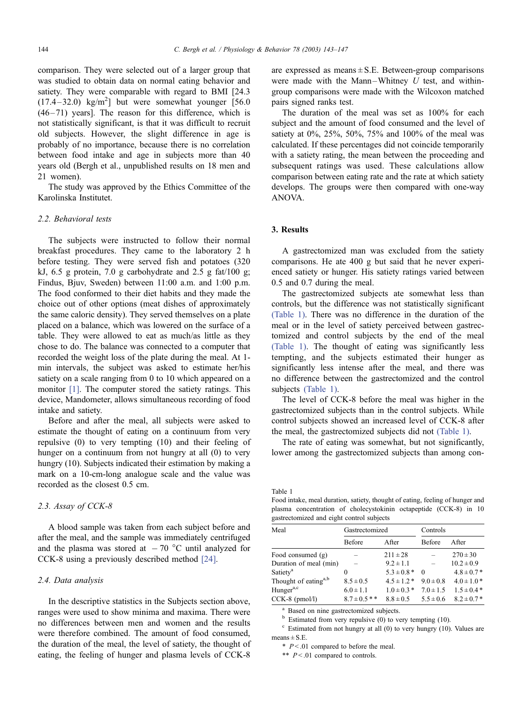comparison. They were selected out of a larger group that was studied to obtain data on normal eating behavior and satiety. They were comparable with regard to BMI [24.3  $(17.4-32.0)$  kg/m<sup>2</sup>] but were somewhat younger [56.0  $(46 - 71)$  years]. The reason for this difference, which is not statistically significant, is that it was difficult to recruit old subjects. However, the slight difference in age is probably of no importance, because there is no correlation between food intake and age in subjects more than 40 years old (Bergh et al., unpublished results on 18 men and 21 women).

The study was approved by the Ethics Committee of the Karolinska Institutet.

# 2.2. Behavioral tests

The subjects were instructed to follow their normal breakfast procedures. They came to the laboratory 2 h before testing. They were served fish and potatoes (320 kJ,  $6.5$  g protein,  $7.0$  g carbohydrate and  $2.5$  g fat $/100$  g; Findus, Bjuv, Sweden) between 11:00 a.m. and 1:00 p.m. The food conformed to their diet habits and they made the choice out of other options (meat dishes of approximately the same caloric density). They served themselves on a plate placed on a balance, which was lowered on the surface of a table. They were allowed to eat as much/as little as they chose to do. The balance was connected to a computer that recorded the weight loss of the plate during the meal. At 1 min intervals, the subject was asked to estimate her/his satiety on a scale ranging from 0 to 10 which appeared on a monitor [\[1\].](#page-3-0) The computer stored the satiety ratings. This device, Mandometer, allows simultaneous recording of food intake and satiety.

Before and after the meal, all subjects were asked to estimate the thought of eating on a continuum from very repulsive (0) to very tempting (10) and their feeling of hunger on a continuum from not hungry at all (0) to very hungry (10). Subjects indicated their estimation by making a mark on a 10-cm-long analogue scale and the value was recorded as the closest 0.5 cm.

## 2.3. Assay of CCK-8

A blood sample was taken from each subject before and after the meal, and the sample was immediately centrifuged and the plasma was stored at  $-70$  °C until analyzed for CCK-8 using a previously described method [\[24\].](#page-3-0)

## 2.4. Data analysis

In the descriptive statistics in the Subjects section above, ranges were used to show minima and maxima. There were no differences between men and women and the results were therefore combined. The amount of food consumed, the duration of the meal, the level of satiety, the thought of eating, the feeling of hunger and plasma levels of CCK-8

are expressed as means  $\pm$  S.E. Between-group comparisons were made with the Mann-Whitney  $U$  test, and withingroup comparisons were made with the Wilcoxon matched pairs signed ranks test.

The duration of the meal was set as 100% for each subject and the amount of food consumed and the level of satiety at 0%, 25%, 50%, 75% and 100% of the meal was calculated. If these percentages did not coincide temporarily with a satiety rating, the mean between the proceeding and subsequent ratings was used. These calculations allow comparison between eating rate and the rate at which satiety develops. The groups were then compared with one-way ANOVA.

## 3. Results

A gastrectomized man was excluded from the satiety comparisons. He ate 400 g but said that he never experienced satiety or hunger. His satiety ratings varied between 0.5 and 0.7 during the meal.

The gastrectomized subjects ate somewhat less than controls, but the difference was not statistically significant (Table 1). There was no difference in the duration of the meal or in the level of satiety perceived between gastrectomized and control subjects by the end of the meal (Table 1). The thought of eating was significantly less tempting, and the subjects estimated their hunger as significantly less intense after the meal, and there was no difference between the gastrectomized and the control subjects (Table 1).

The level of CCK-8 before the meal was higher in the gastrectomized subjects than in the control subjects. While control subjects showed an increased level of CCK-8 after the meal, the gastrectomized subjects did not (Table 1).

The rate of eating was somewhat, but not significantly, lower among the gastrectomized subjects than among con-

Table 1

Food intake, meal duration, satiety, thought of eating, feeling of hunger and plasma concentration of cholecystokinin octapeptide (CCK-8) in 10 gastrectomized and eight control subjects

| Meal                             | Gastrectomized   |                 | Controls      |                |
|----------------------------------|------------------|-----------------|---------------|----------------|
|                                  | <b>Before</b>    | After           | Before        | A fter         |
| Food consumed $(g)$              |                  | $211 \pm 28$    |               | $270 \pm 30$   |
| Duration of meal (min)           |                  | $9.2 \pm 1.1$   |               | $10.2 \pm 0.9$ |
| Satiety <sup>a</sup>             | 0                | $5.3 \pm 0.8*$  | $\Omega$      | $4.8 \pm 0.7*$ |
| Thought of eating <sup>a,b</sup> | $8.5 \pm 0.5$    | $4.5 \pm 1.2$ * | $9.0 \pm 0.8$ | $4.0 \pm 1.0*$ |
| Hunger <sup>a,c</sup>            | $6.0 \pm 1.1$    | $1.0 \pm 0.3$ * | $7.0 \pm 1.5$ | $1.5 \pm 0.4*$ |
| $CCK-8$ (pmol/l)                 | $8.7 \pm 0.5$ ** | $8.8 \pm 0.5$   | $5.5 \pm 0.6$ | $8.2 \pm 0.7*$ |

<sup>a</sup> Based on nine gastrectomized subjects.<br><sup>b</sup> Estimated from very repulsive (0) to very tempting (10).

 $\degree$  Estimated from not hungry at all (0) to very hungry (10). Values are  $means \pm S.E.$ 

 $*$   $P < .01$  compared to before the meal.

\*\*  $P < 01$  compared to controls.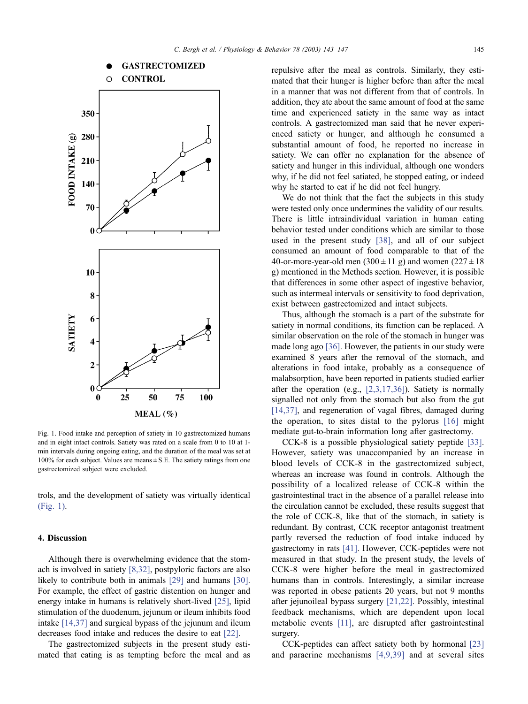

Fig. 1. Food intake and perception of satiety in 10 gastrectomized humans and in eight intact controls. Satiety was rated on a scale from 0 to 10 at 1 min intervals during ongoing eating, and the duration of the meal was set at 100% for each subject. Values are means  $\pm$  S.E. The satiety ratings from one gastrectomized subject were excluded.

trols, and the development of satiety was virtually identical (Fig. 1).

## 4. Discussion

Although there is overwhelming evidence that the stomach is involved in satiety [\[8,32\],](#page-3-0) postpyloric factors are also likely to contribute both in animals [\[29\]](#page-4-0) and humans [\[30\].](#page-4-0) For example, the effect of gastric distention on hunger and energy intake in humans is relatively short-lived [\[25\],](#page-3-0) lipid stimulation of the duodenum, jejunum or ileum inhibits food intake [\[14,37\]](#page-3-0) and surgical bypass of the jejunum and ileum decreases food intake and reduces the desire to eat [\[22\].](#page-3-0)

The gastrectomized subjects in the present study estimated that eating is as tempting before the meal and as repulsive after the meal as controls. Similarly, they estimated that their hunger is higher before than after the meal in a manner that was not different from that of controls. In addition, they ate about the same amount of food at the same time and experienced satiety in the same way as intact controls. A gastrectomized man said that he never experienced satiety or hunger, and although he consumed a substantial amount of food, he reported no increase in satiety. We can offer no explanation for the absence of satiety and hunger in this individual, although one wonders why, if he did not feel satiated, he stopped eating, or indeed why he started to eat if he did not feel hungry.

We do not think that the fact the subjects in this study were tested only once undermines the validity of our results. There is little intraindividual variation in human eating behavior tested under conditions which are similar to those used in the present study [\[38\],](#page-4-0) and all of our subject consumed an amount of food comparable to that of the 40-or-more-year-old men  $(300 \pm 11 \text{ g})$  and women  $(227 \pm 18 \text{ g})$ g) mentioned in the Methods section. However, it is possible that differences in some other aspect of ingestive behavior, such as intermeal intervals or sensitivity to food deprivation, exist between gastrectomized and intact subjects.

Thus, although the stomach is a part of the substrate for satiety in normal conditions, its function can be replaced. A similar observation on the role of the stomach in hunger was made long ago [\[36\].](#page-4-0) However, the patients in our study were examined 8 years after the removal of the stomach, and alterations in food intake, probably as a consequence of malabsorption, have been reported in patients studied earlier after the operation (e.g., [\[2,3,17,36\]\)](#page-3-0). Satiety is normally signalled not only from the stomach but also from the gut [\[14,37\],](#page-3-0) and regeneration of vagal fibres, damaged during the operation, to sites distal to the pylorus [\[16\]](#page-3-0) might mediate gut-to-brain information long after gastrectomy.

CCK-8 is a possible physiological satiety peptide [\[33\].](#page-4-0) However, satiety was unaccompanied by an increase in blood levels of CCK-8 in the gastrectomized subject, whereas an increase was found in controls. Although the possibility of a localized release of CCK-8 within the gastrointestinal tract in the absence of a parallel release into the circulation cannot be excluded, these results suggest that the role of CCK-8, like that of the stomach, in satiety is redundant. By contrast, CCK receptor antagonist treatment partly reversed the reduction of food intake induced by gastrectomy in rats [\[41\].](#page-4-0) However, CCK-peptides were not measured in that study. In the present study, the levels of CCK-8 were higher before the meal in gastrectomized humans than in controls. Interestingly, a similar increase was reported in obese patients 20 years, but not 9 months after jejunoileal bypass surgery [\[21,22\].](#page-3-0) Possibly, intestinal feedback mechanisms, which are dependent upon local metabolic events [\[11\],](#page-3-0) are disrupted after gastrointestinal surgery.

CCK-peptides can affect satiety both by hormonal [\[23\]](#page-3-0) and paracrine mechanisms [\[4,9,39\]](#page-3-0) and at several sites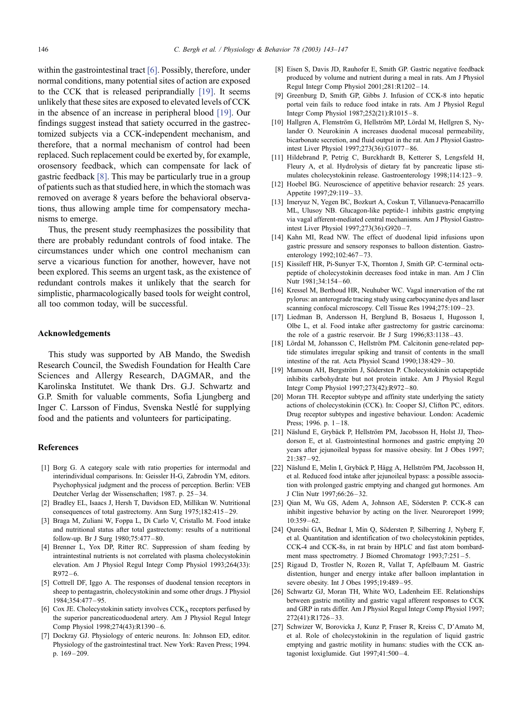<span id="page-3-0"></span>within the gastrointestinal tract [6]. Possibly, therefore, under normal conditions, many potential sites of action are exposed to the CCK that is released periprandially [19]. It seems unlikely that these sites are exposed to elevated levels of CCK in the absence of an increase in peripheral blood [19]. Our findings suggest instead that satiety occurred in the gastrectomized subjects via a CCK-independent mechanism, and therefore, that a normal mechanism of control had been replaced. Such replacement could be exerted by, for example, orosensory feedback, which can compensate for lack of gastric feedback [8]. This may be particularly true in a group of patients such as that studied here, in which the stomach was removed on average 8 years before the behavioral observations, thus allowing ample time for compensatory mechanisms to emerge.

Thus, the present study reemphasizes the possibility that there are probably redundant controls of food intake. The circumstances under which one control mechanism can serve a vicarious function for another, however, have not been explored. This seems an urgent task, as the existence of redundant controls makes it unlikely that the search for simplistic, pharmacologically based tools for weight control, all too common today, will be successful.

## Acknowledgements

This study was supported by AB Mando, the Swedish Research Council, the Swedish Foundation for Health Care Sciences and Allergy Research, DAGMAR, and the Karolinska Institutet. We thank Drs. G.J. Schwartz and G.P. Smith for valuable comments, Sofia Ljungberg and Inger C. Larsson of Findus, Svenska Nestle´ for supplying food and the patients and volunteers for participating.

#### References

- [1] Borg G. A category scale with ratio properties for intermodal and interindividual comparisons. In: Geissler H-G, Zabrodin YM, editors. Psychophysical judgment and the process of perception. Berlin: VEB Deutcher Verlag der Wissenschaften; 1987. p. 25 – 34.
- [2] Bradley EL, Isaacs J, Hersh T, Davidson ED, Millikan W. Nutritional consequences of total gastrectomy. Ann Surg 1975;182:415 – 29.
- [3] Braga M, Zuliani W, Foppa L, Di Carlo V, Cristallo M. Food intake and nutritional status after total gastrectomy: results of a nutritional follow-up. Br J Surg 1980;75:477 – 80.
- [4] Brenner L, Yox DP, Ritter RC. Suppression of sham feeding by intraintestinal nutrients is not correlated with plasma cholecystokinin elevation. Am J Physiol Regul Integr Comp Physiol 1993;264(33):  $R972 - 6.$
- [5] Cottrell DF, Iggo A. The responses of duodenal tension receptors in sheep to pentagastrin, cholecystokinin and some other drugs. J Physiol 1984;354:477 – 95.
- [6] Cox JE. Cholecystokinin satiety involves CCKA receptors perfused by the superior pancreaticoduodenal artery. Am J Physiol Regul Integr Comp Physiol 1998;274(43):R1390-6.
- [7] Dockray GJ. Physiology of enteric neurons. In: Johnson ED, editor. Physiology of the gastrointestinal tract. New York: Raven Press; 1994. p. 169 – 209.
- [8] Eisen S, Davis JD, Rauhofer E, Smith GP. Gastric negative feedback produced by volume and nutrient during a meal in rats. Am J Physiol Regul Integr Comp Physiol 2001;281:R1202 – 14.
- [9] Greenburg D, Smith GP, Gibbs J. Infusion of CCK-8 into hepatic portal vein fails to reduce food intake in rats. Am J Physiol Regul Integr Comp Physiol 1987;252(21):R1015 – 8.
- [10] Hallgren A, Flemström G, Hellström MP, Lördal M, Hellgren S, Nylander O. Neurokinin A increases duodenal mucosal permeability, bicarbonate secretion, and fluid output in the rat. Am J Physiol Gastrointest Liver Physiol 1997;273(36):G1077 – 86.
- [11] Hildebrand P, Petrig C, Burckhardt B, Ketterer S, Lengsfeld H, Fleury A, et al. Hydrolysis of dietary fat by pancreatic lipase stimulates cholecystokinin release. Gastroenterology 1998;114:123 – 9.
- [12] Hoebel BG. Neuroscience of appetitive behavior research: 25 years. Appetite 1997;29:119 – 33.
- [13] Imeryuz N, Yegen BC, Bozkurt A, Coskun T, Villanueva-Penacarrillo ML, Ulusoy NB. Glucagon-like peptide-1 inhibits gastric emptying via vagal afferent-mediated central mechanisms. Am J Physiol Gastrointest Liver Physiol 1997;273(36):G920 – 7.
- [14] Kahn MI, Read NW. The effect of duodenal lipid infusions upon gastric pressure and sensory responses to balloon distention. Gastroenterology 1992;102:467-73.
- [15] Kissileff HR, Pi-Sunyer T-X, Thornton J, Smith GP. C-terminal octapeptide of cholecystokinin decreases food intake in man. Am J Clin Nutr 1981;34:154-60.
- [16] Kressel M, Berthoud HR, Neuhuber WC. Vagal innervation of the rat pylorus: an anterograde tracing study using carbocyanine dyes and laser scanning confocal microscopy. Cell Tissue Res 1994;275:109-23.
- [17] Liedman B, Andersson H, Berglund B, Bosaeus I, Hugosson I, Olbe L, et al. Food intake after gastrectomy for gastric carcinoma: the role of a gastric reservoir. Br J Surg 1996;83:1138-43.
- [18] Lördal M, Johansson C, Hellström PM. Calcitonin gene-related peptide stimulates irregular spiking and transit of contents in the small intestine of the rat. Acta Physiol Scand 1990;138:429 – 30.
- [19] Mamoun AH, Bergström J, Södersten P. Cholecystokinin octapeptide inhibits carbohydrate but not protein intake. Am J Physiol Regul Integr Comp Physiol 1997;273(42):R972 – 80.
- [20] Moran TH. Receptor subtype and affinity state underlying the satiety actions of cholecystokinin (CCK). In: Cooper SJ, Clifton PC, editors. Drug receptor subtypes and ingestive behaviour. London: Academic Press; 1996. p.  $1 - 18$ .
- [21] Näslund E, Grybäck P, Hellström PM, Jacobsson H, Holst JJ, Theodorson E, et al. Gastrointestinal hormones and gastric emptying 20 years after jejunoileal bypass for massive obesity. Int J Obes 1997;  $21.387 - 92.$
- [22] Näslund E, Melin I, Grybäck P, Hägg A, Hellström PM, Jacobsson H, et al. Reduced food intake after jejunoileal bypass: a possible association with prolonged gastric emptying and changed gut hormones. Am J Clin Nutr 1997;66:26 – 32.
- [23] Qian M, Wu GS, Adem A, Johnson AE, Södersten P. CCK-8 can inhibit ingestive behavior by acting on the liver. Neuroreport 1999;  $10:359 - 62.$
- [24] Qureshi GA, Bednar I, Min Q, Södersten P, Silberring J, Nyberg F, et al. Quantitation and identification of two cholecystokinin peptides, CCK-4 and CCK-8s, in rat brain by HPLC and fast atom bombardment mass spectrometry. J Biomed Chromatogr 1993;7:251-5.
- [25] Rigaud D, Trostler N, Rozen R, Vallat T, Apfelbaum M. Gastric distention, hunger and energy intake after balloon implantation in severe obesity. Int J Obes 1995;19:489 – 95.
- [26] Schwartz GJ, Moran TH, White WO, Ladenheim EE. Relationships between gastric motility and gastric vagal afferent responses to CCK and GRP in rats differ. Am J Physiol Regul Integr Comp Physiol 1997; 272(41):R1726 – 33.
- [27] Schwizer W, Borovicka J, Kunz P, Fraser R, Kreiss C, D'Amato M, et al. Role of cholecystokinin in the regulation of liquid gastric emptying and gastric motility in humans: studies with the CCK antagonist loxiglumide. Gut 1997;41:500 – 4.